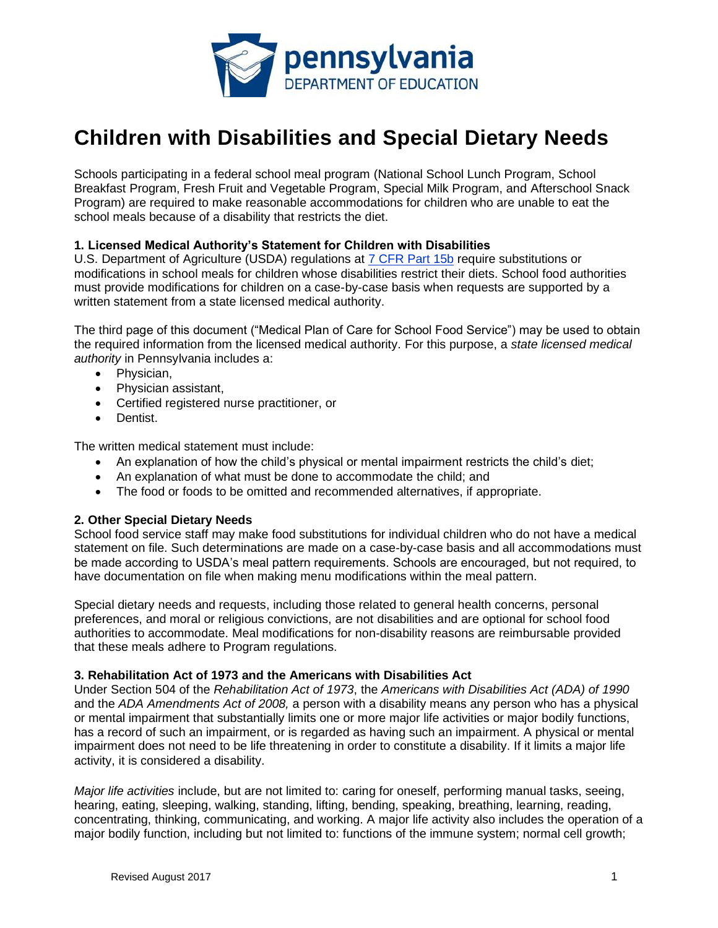

# **Children with Disabilities and Special Dietary Needs**

Schools participating in a federal school meal program (National School Lunch Program, School Breakfast Program, Fresh Fruit and Vegetable Program, Special Milk Program, and Afterschool Snack Program) are required to make reasonable accommodations for children who are unable to eat the school meals because of a disability that restricts the diet.

## **1. Licensed Medical Authority's Statement for Children with Disabilities**

U.S. Department of Agriculture (USDA) regulations at [7 CFR Part 15b](https://www.ecfr.gov/cgi-bin/retrieveECFR?gp=&SID=7c203b9d21d3fa8b4b340103cf8f2809&mc=true&n=pt7.1.15b&r=PART&ty=HTML#se7.1.15b_16) require substitutions or modifications in school meals for children whose disabilities restrict their diets. School food authorities must provide modifications for children on a case-by-case basis when requests are supported by a written statement from a state licensed medical authority.

The third page of this document ("Medical Plan of Care for School Food Service") may be used to obtain the required information from the licensed medical authority. For this purpose, a *state licensed medical authority* in Pennsylvania includes a:

- Physician,
- Physician assistant,
- Certified registered nurse practitioner, or
- Dentist.

The written medical statement must include:

- An explanation of how the child's physical or mental impairment restricts the child's diet;
- An explanation of what must be done to accommodate the child; and
- The food or foods to be omitted and recommended alternatives, if appropriate.

## **2. Other Special Dietary Needs**

School food service staff may make food substitutions for individual children who do not have a medical statement on file. Such determinations are made on a case-by-case basis and all accommodations must be made according to USDA's meal pattern requirements. Schools are encouraged, but not required, to have documentation on file when making menu modifications within the meal pattern.

Special dietary needs and requests, including those related to general health concerns, personal preferences, and moral or religious convictions, are not disabilities and are optional for school food authorities to accommodate. Meal modifications for non-disability reasons are reimbursable provided that these meals adhere to Program regulations.

#### **3. Rehabilitation Act of 1973 and the Americans with Disabilities Act**

Under Section 504 of the *Rehabilitation Act of 1973*, the *Americans with Disabilities Act (ADA) of 1990*  and the *ADA Amendments Act of 2008,* a person with a disability means any person who has a physical or mental impairment that substantially limits one or more major life activities or major bodily functions, has a record of such an impairment, or is regarded as having such an impairment. A physical or mental impairment does not need to be life threatening in order to constitute a disability. If it limits a major life activity, it is considered a disability.

*Major life activities* include, but are not limited to: caring for oneself, performing manual tasks, seeing, hearing, eating, sleeping, walking, standing, lifting, bending, speaking, breathing, learning, reading, concentrating, thinking, communicating, and working. A major life activity also includes the operation of a major bodily function, including but not limited to: functions of the immune system; normal cell growth;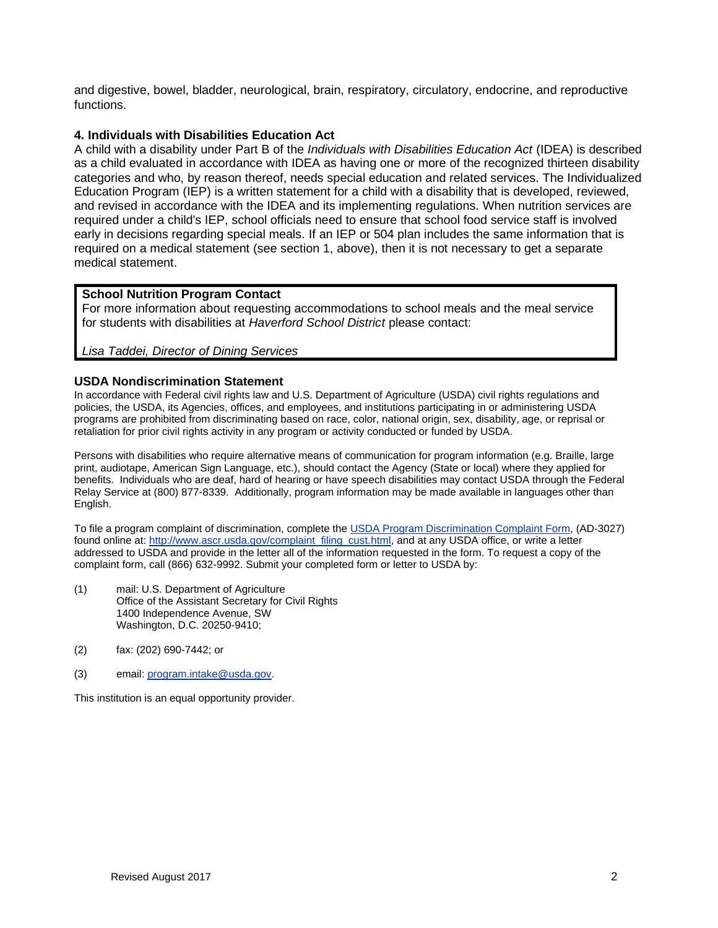and digestive, bowel, bladder, neurological, brain, respiratory, circulatory, endocrine, and reproductive functions.

## **4. Individuals with Disabilities Education Act**

A child with a disability under Part B of the *Individuals with Disabilities Education Act* (IDEA) is described as a child evaluated in accordance with IDEA as having one or more of the recognized thirteen disability categories and who, by reason thereof, needs special education and related services. The Individualized Education Program (IEP) is a written statement for a child with a disability that is developed, reviewed, and revised in accordance with the IDEA and its implementing regulations. When nutrition services are required under a child's IEP, school officials need to ensure that school food service staff is involved early in decisions regarding special meals. If an IEP or 504 plan includes the same information that is required on a medical statement (see section 1, above), then it is not necessary to get a separate medical statement.

## **School Nutrition Program Contact**

For more information about requesting accommodations to school meals and the meal service for students with disabilities at *Haverford School District* please contact:

*Lisa Taddei, Director of Dining Services*

#### **USDA Nondiscrimination Statement**

In accordance with Federal civil rights law and U.S. Department of Agriculture (USDA) civil rights regulations and policies, the USDA, its Agencies, offices, and employees, and institutions participating in or administering USDA programs are prohibited from discriminating based on race, color, national origin, sex, disability, age, or reprisal or retaliation for prior civil rights activity in any program or activity conducted or funded by USDA.

Persons with disabilities who require alternative means of communication for program information (e.g. Braille, large print, audiotape, American Sign Language, etc.), should contact the Agency (State or local) where they applied for benefits. Individuals who are deaf, hard of hearing or have speech disabilities may contact USDA through the Federal Relay Service at (800) 877-8339. Additionally, program information may be made available in languages other than English.

To file a program complaint of discrimination, complete the [USDA Program Discrimination Complaint Form,](http://www.ocio.usda.gov/sites/default/files/docs/2012/Complain_combined_6_8_12.pdf) (AD-3027) found online at: [http://www.ascr.usda.gov/complaint\\_filing\\_cust.html,](http://www.ascr.usda.gov/complaint_filing_cust.html) and at any USDA office, or write a letter addressed to USDA and provide in the letter all of the information requested in the form. To request a copy of the complaint form, call (866) 632-9992. Submit your completed form or letter to USDA by:

- (1) mail: U.S. Department of Agriculture Office of the Assistant Secretary for Civil Rights 1400 Independence Avenue, SW Washington, D.C. 20250-9410;
- (2) fax: (202) 690-7442; or
- (3) email: [program.intake@usda.gov.](mailto:program.intake@usda.gov)

This institution is an equal opportunity provider.